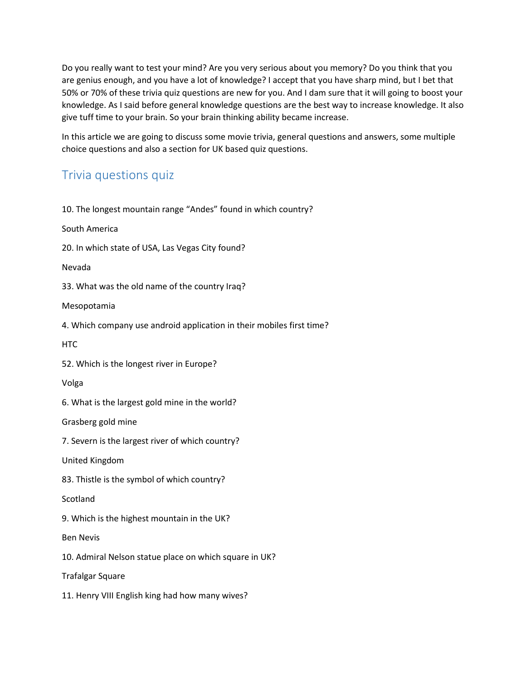Do you really want to test your mind? Are you very serious about you memory? Do you think that you are genius enough, and you have a lot of knowledge? I accept that you have sharp mind, but I bet that 50% or 70% of these trivia quiz questions are new for you. And I dam sure that it will going to boost your knowledge. As I said before general knowledge questions are the best way to increase knowledge. It also give tuff time to your brain. So your brain thinking ability became increase.

In this article we are going to discuss some movie trivia, general questions and answers, some multiple choice questions and also a section for UK based quiz questions.

# Trivia questions quiz

| 10. The longest mountain range "Andes" found in which country?        |
|-----------------------------------------------------------------------|
| South America                                                         |
| 20. In which state of USA, Las Vegas City found?                      |
| Nevada                                                                |
| 33. What was the old name of the country Iraq?                        |
| Mesopotamia                                                           |
| 4. Which company use android application in their mobiles first time? |
| <b>HTC</b>                                                            |
| 52. Which is the longest river in Europe?                             |
| Volga                                                                 |
| 6. What is the largest gold mine in the world?                        |
| Grasberg gold mine                                                    |
| 7. Severn is the largest river of which country?                      |
| United Kingdom                                                        |
| 83. Thistle is the symbol of which country?                           |
| Scotland                                                              |
| 9. Which is the highest mountain in the UK?                           |
| <b>Ben Nevis</b>                                                      |
| 10. Admiral Nelson statue place on which square in UK?                |
| <b>Trafalgar Square</b>                                               |
| 11. Henry VIII English king had how many wives?                       |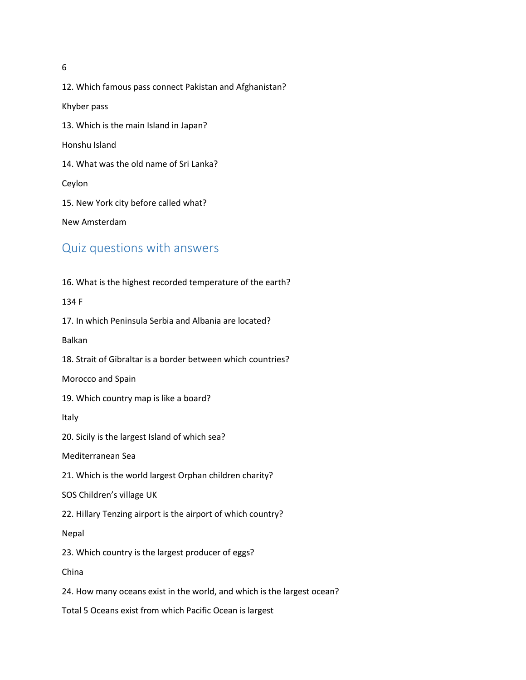6

12. Which famous pass connect Pakistan and Afghanistan? Khyber pass 13. Which is the main Island in Japan? Honshu Island 14. What was the old name of Sri Lanka? Ceylon 15. New York city before called what? New Amsterdam

# Quiz questions with answers

16. What is the highest recorded temperature of the earth? 134 F 17. In which Peninsula Serbia and Albania are located? Balkan 18. Strait of Gibraltar is a border between which countries? Morocco and Spain 19. Which country map is like a board? Italy 20. Sicily is the largest Island of which sea? Mediterranean Sea 21. Which is the world largest Orphan children charity? SOS Children's village UK 22. Hillary Tenzing airport is the airport of which country? Nepal 23. Which country is the largest producer of eggs? China 24. How many oceans exist in the world, and which is the largest ocean? Total 5 Oceans exist from which Pacific Ocean is largest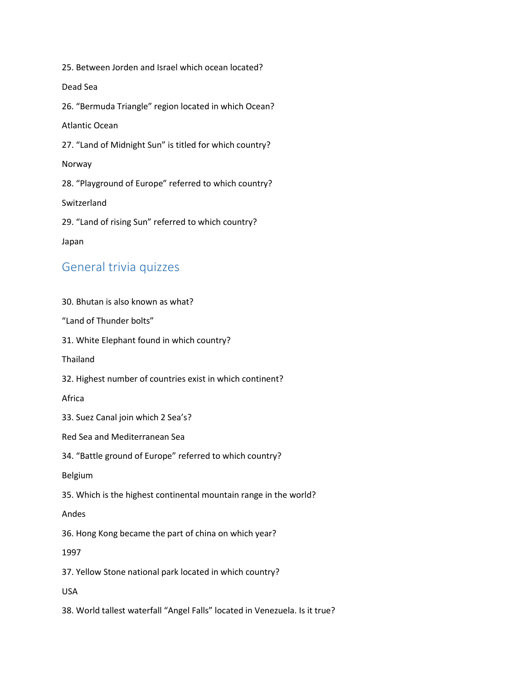25. Between Jorden and Israel which ocean located? Dead Sea 26. "Bermuda Triangle" region located in which Ocean? Atlantic Ocean 27. "Land of Midnight Sun" is titled for which country? Norway 28. "Playground of Europe" referred to which country? Switzerland 29. "Land of rising Sun" referred to which country? Japan

# General trivia quizzes

30. Bhutan is also known as what? "Land of Thunder bolts" 31. White Elephant found in which country? Thailand 32. Highest number of countries exist in which continent? Africa 33. Suez Canal join which 2 Sea's? Red Sea and Mediterranean Sea 34. "Battle ground of Europe" referred to which country? Belgium 35. Which is the highest continental mountain range in the world? Andes 36. Hong Kong became the part of china on which year? 1997 37. Yellow Stone national park located in which country? USA 38. World tallest waterfall "Angel Falls" located in Venezuela. Is it true?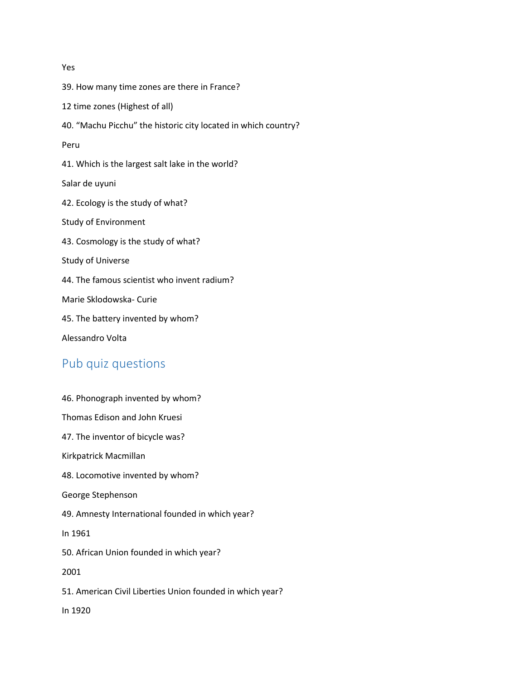# Yes 39. How many time zones are there in France? 12 time zones (Highest of all) 40. "Machu Picchu" the historic city located in which country? Peru 41. Which is the largest salt lake in the world? Salar de uyuni 42. Ecology is the study of what? Study of Environment 43. Cosmology is the study of what? Study of Universe 44. The famous scientist who invent radium? Marie Sklodowska- Curie 45. The battery invented by whom? Alessandro Volta

# Pub quiz questions

| 46. Phonograph invented by whom?                          |
|-----------------------------------------------------------|
| Thomas Edison and John Kruesi                             |
| 47. The inventor of bicycle was?                          |
| Kirkpatrick Macmillan                                     |
| 48. Locomotive invented by whom?                          |
| George Stephenson                                         |
| 49. Amnesty International founded in which year?          |
| In 1961                                                   |
| 50. African Union founded in which year?                  |
| 2001                                                      |
| 51. American Civil Liberties Union founded in which year? |
| In 1920                                                   |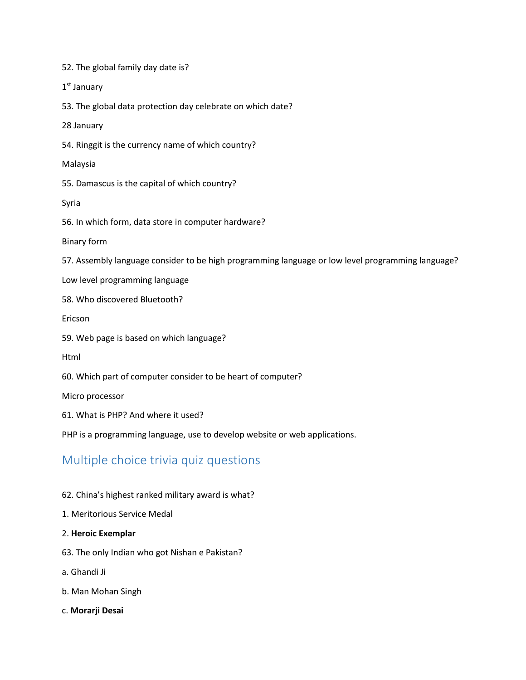52. The global family day date is?

1st January

53. The global data protection day celebrate on which date?

28 January

54. Ringgit is the currency name of which country?

Malaysia

55. Damascus is the capital of which country?

Syria

56. In which form, data store in computer hardware?

Binary form

57. Assembly language consider to be high programming language or low level programming language?

Low level programming language

58. Who discovered Bluetooth?

Ericson

59. Web page is based on which language?

Html

60. Which part of computer consider to be heart of computer?

Micro processor

61. What is PHP? And where it used?

PHP is a programming language, use to develop website or web applications.

# Multiple choice trivia quiz questions

#### 62. China's highest ranked military award is what?

1. Meritorious Service Medal

#### 2. **Heroic Exemplar**

63. The only Indian who got Nishan e Pakistan?

a. Ghandi Ji

b. Man Mohan Singh

c. **Morarji Desai**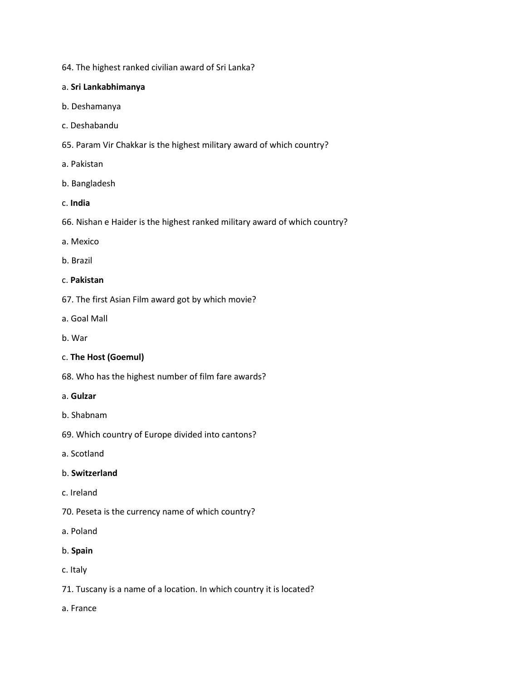64. The highest ranked civilian award of Sri Lanka?

#### a. **Sri Lankabhimanya**

- b. Deshamanya
- c. Deshabandu
- 65. Param Vir Chakkar is the highest military award of which country?
- a. Pakistan
- b. Bangladesh
- c. **India**
- 66. Nishan e Haider is the highest ranked military award of which country?
- a. Mexico
- b. Brazil

#### c. **Pakistan**

- 67. The first Asian Film award got by which movie?
- a. Goal Mall
- b. War

#### c. **The Host (Goemul)**

68. Who has the highest number of film fare awards?

#### a. **Gulzar**

- b. Shabnam
- 69. Which country of Europe divided into cantons?
- a. Scotland

#### b. **Switzerland**

- c. Ireland
- 70. Peseta is the currency name of which country?
- a. Poland
- b. **Spain**
- c. Italy
- 71. Tuscany is a name of a location. In which country it is located?
- a. France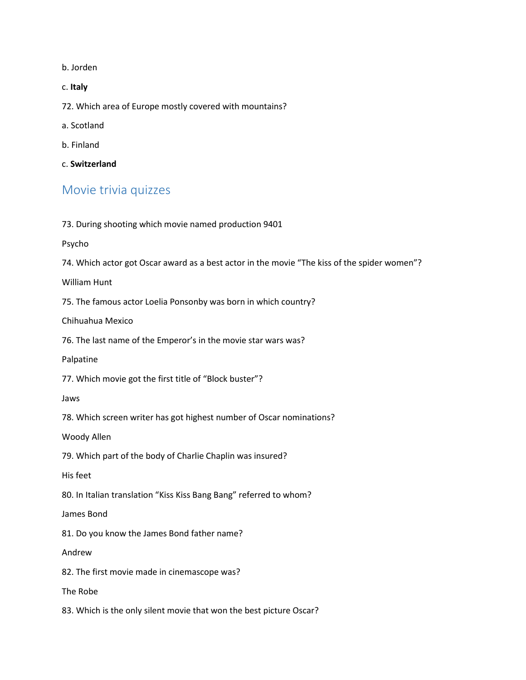b. Jorden

c. **Italy**

72. Which area of Europe mostly covered with mountains?

a. Scotland

b. Finland

c. **Switzerland**

### Movie trivia quizzes

73. During shooting which movie named production 9401

Psycho

74. Which actor got Oscar award as a best actor in the movie "The kiss of the spider women"?

William Hunt

75. The famous actor Loelia Ponsonby was born in which country?

Chihuahua Mexico

76. The last name of the Emperor's in the movie star wars was?

Palpatine

77. Which movie got the first title of "Block buster"?

Jaws

78. Which screen writer has got highest number of Oscar nominations?

Woody Allen

79. Which part of the body of Charlie Chaplin was insured?

His feet

80. In Italian translation "Kiss Kiss Bang Bang" referred to whom?

James Bond

81. Do you know the James Bond father name?

Andrew

82. The first movie made in cinemascope was?

The Robe

83. Which is the only silent movie that won the best picture Oscar?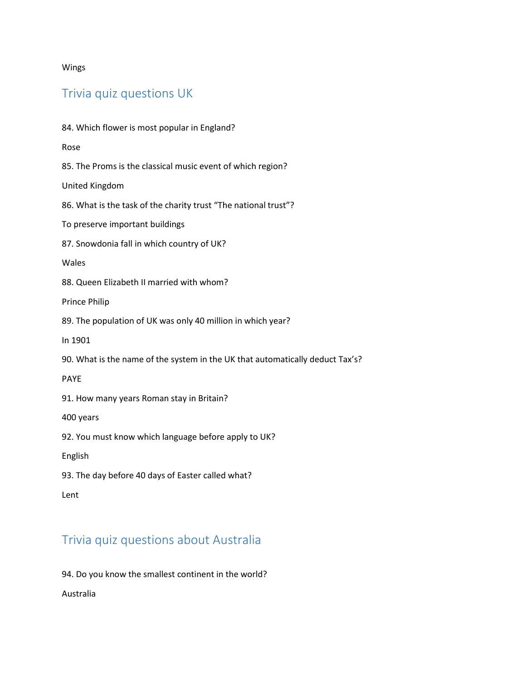Wings

## Trivia quiz questions UK

84. Which flower is most popular in England? Rose 85. The Proms is the classical music event of which region? United Kingdom 86. What is the task of the charity trust "The national trust"? To preserve important buildings 87. Snowdonia fall in which country of UK? Wales 88. Queen Elizabeth II married with whom? Prince Philip 89. The population of UK was only 40 million in which year? In 1901 90. What is the name of the system in the UK that automatically deduct Tax's? PAYE 91. How many years Roman stay in Britain? 400 years 92. You must know which language before apply to UK? English 93. The day before 40 days of Easter called what? Lent

# Trivia quiz questions about Australia

94. Do you know the smallest continent in the world?

Australia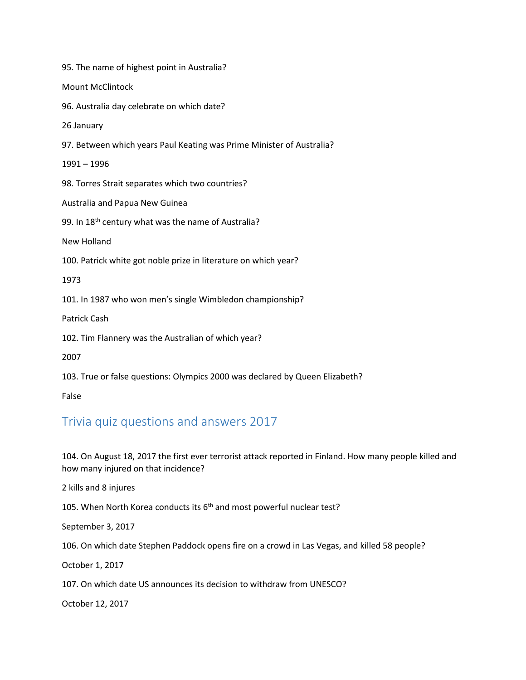95. The name of highest point in Australia? Mount McClintock 96. Australia day celebrate on which date? 26 January 97. Between which years Paul Keating was Prime Minister of Australia? 1991 – 1996 98. Torres Strait separates which two countries? Australia and Papua New Guinea 99. In 18<sup>th</sup> century what was the name of Australia? New Holland 100. Patrick white got noble prize in literature on which year? 1973 101. In 1987 who won men's single Wimbledon championship? Patrick Cash 102. Tim Flannery was the Australian of which year? 2007 103. True or false questions: Olympics 2000 was declared by Queen Elizabeth? False

## Trivia quiz questions and answers 2017

104. On August 18, 2017 the first ever terrorist attack reported in Finland. How many people killed and how many injured on that incidence?

2 kills and 8 injures

105. When North Korea conducts its  $6<sup>th</sup>$  and most powerful nuclear test?

September 3, 2017

106. On which date Stephen Paddock opens fire on a crowd in Las Vegas, and killed 58 people?

October 1, 2017

107. On which date US announces its decision to withdraw from UNESCO?

October 12, 2017